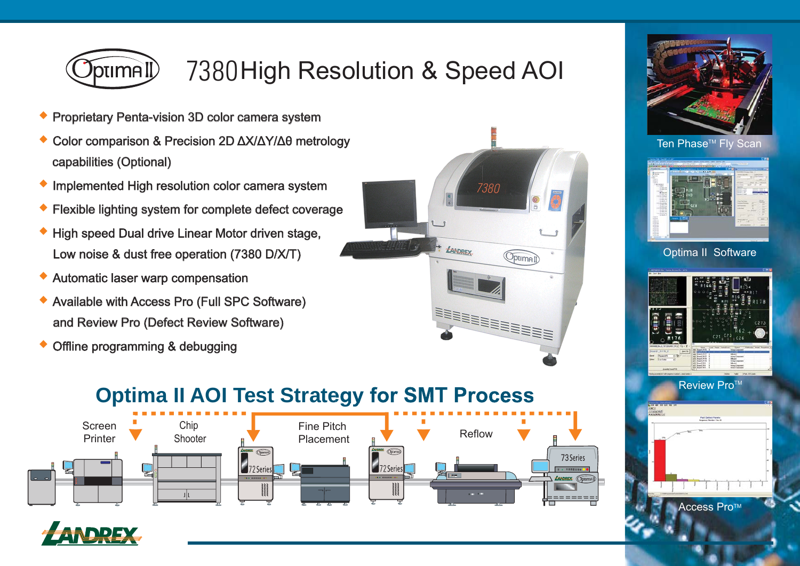

# 7380High Resolution & Speed AOI

- **◆**Proprietary Penta-vision 3D color camera system
- **◆** Color comparison & Precision 2D ΔX/ΔY/Δθ metrology capabilities (Optional)
- **Implemented High resolution color camera system**
- **◆**Flexible lighting system for complete defect coverage
- **◆** High speed Dual drive Linear Motor driven stage, Low noise & dust free operation  $(7380 \text{ D/}X/T)$
- **◆**Automatic laser warp compensation
- **◆** Available with Access Pro (Full SPC Software) and Review Pro (Defect Review Software)
- **◆**Offline programming & debugging





#### Ten Phase<sup>™</sup> Fly Scan



#### Optima II Software



## **Optima II AOI Test Strategy for SMT Process**